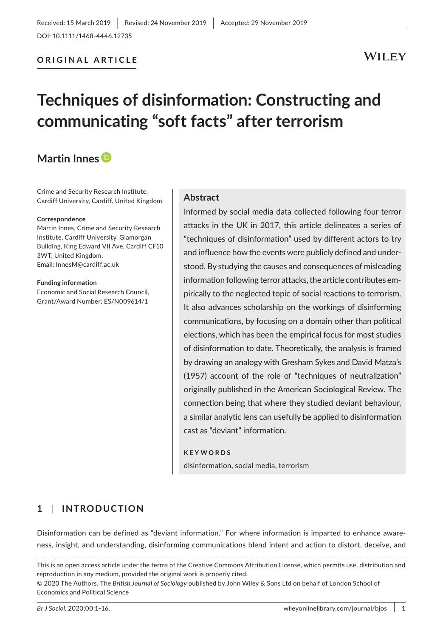## WILEY

# **Techniques of disinformation: Constructing and communicating "soft facts" after terrorism**

# **Martin Innes**

Crime and Security Research Institute, Cardiff University, Cardiff, United Kingdom

#### **Correspondence**

Martin Innes, Crime and Security Research Institute, Cardiff University, Glamorgan Building, King Edward VII Ave, Cardiff CF10 3WT, United Kingdom. Email: [InnesM@cardiff.ac.uk](mailto:InnesM@cardiff.ac.uk)

**Funding information** Economic and Social Research Council, Grant/Award Number: ES/N009614/1

#### **Abstract**

Informed by social media data collected following four terror attacks in the UK in 2017, this article delineates a series of "techniques of disinformation" used by different actors to try and influence how the events were publicly defined and understood. By studying the causes and consequences of misleading information following terror attacks, the article contributes empirically to the neglected topic of social reactions to terrorism. It also advances scholarship on the workings of disinforming communications, by focusing on a domain other than political elections, which has been the empirical focus for most studies of disinformation to date. Theoretically, the analysis is framed by drawing an analogy with Gresham Sykes and David Matza's (1957) account of the role of "techniques of neutralization" originally published in the American Sociological Review. The connection being that where they studied deviant behaviour, a similar analytic lens can usefully be applied to disinformation cast as "deviant" information.

#### **KEYWORDS**

disinformation, social media, terrorism

## **1** | **INTRODUCTION**

Disinformation can be defined as "deviant information." For where information is imparted to enhance awareness, insight, and understanding, disinforming communications blend intent and action to distort, deceive, and

This is an open access article under the terms of the [Creative Commons Attribution](http://creativecommons.org/licenses/by/4.0/) License, which permits use, distribution and reproduction in any medium, provided the original work is properly cited.

© 2020 The Authors. The *British Journal of Sociology* published by John Wiley & Sons Ltd on behalf of London School of Economics and Political Science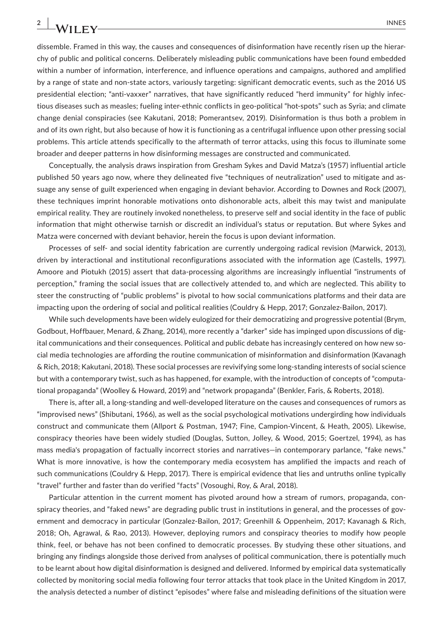dissemble. Framed in this way, the causes and consequences of disinformation have recently risen up the hierarchy of public and political concerns. Deliberately misleading public communications have been found embedded within a number of information, interference, and influence operations and campaigns, authored and amplified by a range of state and non-state actors, variously targeting: significant democratic events, such as the 2016 US presidential election; "anti-vaxxer" narratives, that have significantly reduced "herd immunity" for highly infectious diseases such as measles; fueling inter-ethnic conflicts in geo-political "hot-spots" such as Syria; and climate change denial conspiracies (see Kakutani, 2018; Pomerantsev, 2019). Disinformation is thus both a problem in and of its own right, but also because of how it is functioning as a centrifugal influence upon other pressing social problems. This article attends specifically to the aftermath of terror attacks, using this focus to illuminate some broader and deeper patterns in how disinforming messages are constructed and communicated.

Conceptually, the analysis draws inspiration from Gresham Sykes and David Matza's (1957) influential article published 50 years ago now, where they delineated five "techniques of neutralization" used to mitigate and assuage any sense of guilt experienced when engaging in deviant behavior. According to Downes and Rock (2007), these techniques imprint honorable motivations onto dishonorable acts, albeit this may twist and manipulate empirical reality. They are routinely invoked nonetheless, to preserve self and social identity in the face of public information that might otherwise tarnish or discredit an individual's status or reputation. But where Sykes and Matza were concerned with deviant behavior, herein the focus is upon deviant information.

Processes of self- and social identity fabrication are currently undergoing radical revision (Marwick, 2013), driven by interactional and institutional reconfigurations associated with the information age (Castells, 1997). Amoore and Piotukh (2015) assert that data-processing algorithms are increasingly influential "instruments of perception," framing the social issues that are collectively attended to, and which are neglected. This ability to steer the constructing of "public problems" is pivotal to how social communications platforms and their data are impacting upon the ordering of social and political realities (Couldry & Hepp, 2017; Gonzalez-Bailon, 2017).

While such developments have been widely eulogized for their democratizing and progressive potential (Brym, Godbout, Hoffbauer, Menard, & Zhang, 2014), more recently a "darker" side has impinged upon discussions of digital communications and their consequences. Political and public debate has increasingly centered on how new social media technologies are affording the routine communication of misinformation and disinformation (Kavanagh & Rich, 2018; Kakutani, 2018). These social processes are revivifying some long-standing interests of social science but with a contemporary twist, such as has happened, for example, with the introduction of concepts of "computational propaganda" (Woolley & Howard, 2019) and "network propaganda" (Benkler, Faris, & Roberts, 2018).

There is, after all, a long-standing and well-developed literature on the causes and consequences of rumors as "improvised news" (Shibutani, 1966), as well as the social psychological motivations undergirding how individuals construct and communicate them (Allport & Postman, 1947; Fine, Campion-Vincent, & Heath, 2005). Likewise, conspiracy theories have been widely studied (Douglas, Sutton, Jolley, & Wood, 2015; Goertzel, 1994), as has mass media's propagation of factually incorrect stories and narratives—in contemporary parlance, "fake news." What is more innovative, is how the contemporary media ecosystem has amplified the impacts and reach of such communications (Couldry & Hepp, 2017). There is empirical evidence that lies and untruths online typically "travel" further and faster than do verified "facts" (Vosoughi, Roy, & Aral, 2018).

Particular attention in the current moment has pivoted around how a stream of rumors, propaganda, conspiracy theories, and "faked news" are degrading public trust in institutions in general, and the processes of government and democracy in particular (Gonzalez-Bailon, 2017; Greenhill & Oppenheim, 2017; Kavanagh & Rich, 2018; Oh, Agrawal, & Rao, 2013). However, deploying rumors and conspiracy theories to modify how people think, feel, or behave has not been confined to democratic processes. By studying these other situations, and bringing any findings alongside those derived from analyses of political communication, there is potentially much to be learnt about how digital disinformation is designed and delivered. Informed by empirical data systematically collected by monitoring social media following four terror attacks that took place in the United Kingdom in 2017, the analysis detected a number of distinct "episodes" where false and misleading definitions of the situation were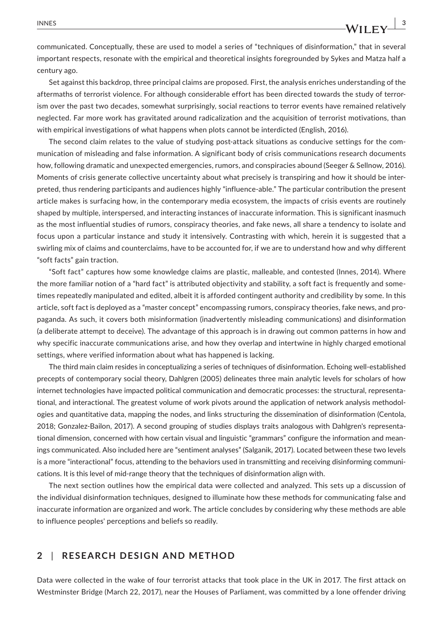communicated. Conceptually, these are used to model a series of "techniques of disinformation," that in several important respects, resonate with the empirical and theoretical insights foregrounded by Sykes and Matza half a century ago.

Set against this backdrop, three principal claims are proposed. First, the analysis enriches understanding of the aftermaths of terrorist violence. For although considerable effort has been directed towards the study of terrorism over the past two decades, somewhat surprisingly, social reactions to terror events have remained relatively neglected. Far more work has gravitated around radicalization and the acquisition of terrorist motivations, than with empirical investigations of what happens when plots cannot be interdicted (English, 2016).

The second claim relates to the value of studying post-attack situations as conducive settings for the communication of misleading and false information. A significant body of crisis communications research documents how, following dramatic and unexpected emergencies, rumors, and conspiracies abound (Seeger & Sellnow, 2016). Moments of crisis generate collective uncertainty about what precisely is transpiring and how it should be interpreted, thus rendering participants and audiences highly "influence-able." The particular contribution the present article makes is surfacing how, in the contemporary media ecosystem, the impacts of crisis events are routinely shaped by multiple, interspersed, and interacting instances of inaccurate information. This is significant inasmuch as the most influential studies of rumors, conspiracy theories, and fake news, all share a tendency to isolate and focus upon a particular instance and study it intensively. Contrasting with which, herein it is suggested that a swirling mix of claims and counterclaims, have to be accounted for, if we are to understand how and why different "soft facts" gain traction.

"Soft fact" captures how some knowledge claims are plastic, malleable, and contested (Innes, 2014). Where the more familiar notion of a "hard fact" is attributed objectivity and stability, a soft fact is frequently and sometimes repeatedly manipulated and edited, albeit it is afforded contingent authority and credibility by some. In this article, soft fact is deployed as a "master concept" encompassing rumors, conspiracy theories, fake news, and propaganda. As such, it covers both misinformation (inadvertently misleading communications) and disinformation (a deliberate attempt to deceive). The advantage of this approach is in drawing out common patterns in how and why specific inaccurate communications arise, and how they overlap and intertwine in highly charged emotional settings, where verified information about what has happened is lacking.

The third main claim resides in conceptualizing a series of techniques of disinformation. Echoing well-established precepts of contemporary social theory, Dahlgren (2005) delineates three main analytic levels for scholars of how internet technologies have impacted political communication and democratic processes: the structural, representational, and interactional. The greatest volume of work pivots around the application of network analysis methodologies and quantitative data, mapping the nodes, and links structuring the dissemination of disinformation (Centola, 2018; Gonzalez-Bailon, 2017). A second grouping of studies displays traits analogous with Dahlgren's representational dimension, concerned with how certain visual and linguistic "grammars" configure the information and meanings communicated. Also included here are "sentiment analyses" (Salganik, 2017). Located between these two levels is a more "interactional" focus, attending to the behaviors used in transmitting and receiving disinforming communications. It is this level of mid-range theory that the techniques of disinformation align with.

The next section outlines how the empirical data were collected and analyzed. This sets up a discussion of the individual disinformation techniques, designed to illuminate how these methods for communicating false and inaccurate information are organized and work. The article concludes by considering why these methods are able to influence peoples' perceptions and beliefs so readily.

## **2** | **RESEARCH DESIGN AND METHOD**

Data were collected in the wake of four terrorist attacks that took place in the UK in 2017. The first attack on Westminster Bridge (March 22, 2017), near the Houses of Parliament, was committed by a lone offender driving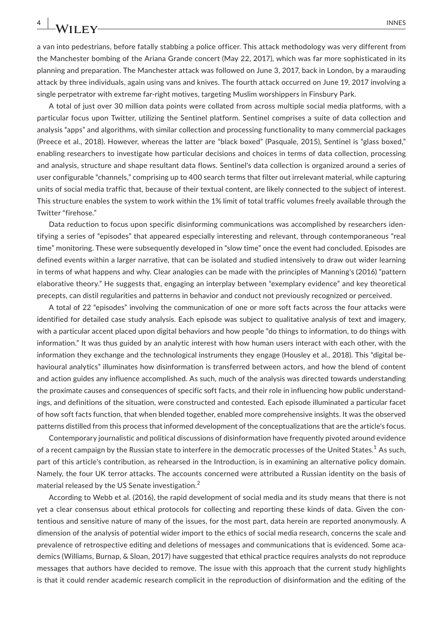a van into pedestrians, before fatally stabbing a police officer. This attack methodology was very different from the Manchester bombing of the Ariana Grande concert (May 22, 2017), which was far more sophisticated in its planning and preparation. The Manchester attack was followed on June 3, 2017, back in London, by a marauding attack by three individuals, again using vans and knives. The fourth attack occurred on June 19, 2017 involving a single perpetrator with extreme far-right motives, targeting Muslim worshippers in Finsbury Park.

A total of just over 30 million data points were collated from across multiple social media platforms, with a particular focus upon Twitter, utilizing the Sentinel platform. Sentinel comprises a suite of data collection and analysis "apps" and algorithms, with similar collection and processing functionality to many commercial packages (Preece et al., 2018). However, whereas the latter are "black boxed" (Pasquale, 2015), Sentinel is "glass boxed," enabling researchers to investigate how particular decisions and choices in terms of data collection, processing and analysis, structure and shape resultant data flows. Sentinel's data collection is organized around a series of user configurable "channels," comprising up to 400 search terms that filter out irrelevant material, while capturing units of social media traffic that, because of their textual content, are likely connected to the subject of interest. This structure enables the system to work within the 1% limit of total traffic volumes freely available through the Twitter "firehose."

Data reduction to focus upon specific disinforming communications was accomplished by researchers identifying a series of "episodes" that appeared especially interesting and relevant, through contemporaneous "real time" monitoring. These were subsequently developed in "slow time" once the event had concluded. Episodes are defined events within a larger narrative, that can be isolated and studied intensively to draw out wider learning in terms of what happens and why. Clear analogies can be made with the principles of Manning's (2016) "pattern elaborative theory." He suggests that, engaging an interplay between "exemplary evidence" and key theoretical precepts, can distil regularities and patterns in behavior and conduct not previously recognized or perceived.

A total of 22 "episodes" involving the communication of one or more soft facts across the four attacks were identified for detailed case study analysis. Each episode was subject to qualitative analysis of text and imagery, with a particular accent placed upon digital behaviors and how people "do things to information, to do things with information." It was thus guided by an analytic interest with how human users interact with each other, with the information they exchange and the technological instruments they engage (Housley et al., 2018). This "digital behavioural analytics" illuminates how disinformation is transferred between actors, and how the blend of content and action guides any influence accomplished. As such, much of the analysis was directed towards understanding the proximate causes and consequences of specific soft facts, and their role in influencing how public understandings, and definitions of the situation, were constructed and contested. Each episode illuminated a particular facet of how soft facts function, that when blended together, enabled more comprehensive insights. It was the observed patterns distilled from this process that informed development of the conceptualizations that are the article's focus.

Contemporary journalistic and political discussions of disinformation have frequently pivoted around evidence of a recent campaign by the Russian state to interfere in the democratic processes of the United States.<sup>1</sup> As such, part of this article's contribution, as rehearsed in the Introduction, is in examining an alternative policy domain. Namely, the four UK terror attacks. The accounts concerned were attributed a Russian identity on the basis of material released by the US Senate investigation.<sup>2</sup>

According to Webb et al. (2016), the rapid development of social media and its study means that there is not yet a clear consensus about ethical protocols for collecting and reporting these kinds of data. Given the contentious and sensitive nature of many of the issues, for the most part, data herein are reported anonymously. A dimension of the analysis of potential wider import to the ethics of social media research, concerns the scale and prevalence of retrospective editing and deletions of messages and communications that is evidenced. Some academics (Williams, Burnap, & Sloan, 2017) have suggested that ethical practice requires analysts do not reproduce messages that authors have decided to remove. The issue with this approach that the current study highlights is that it could render academic research complicit in the reproduction of disinformation and the editing of the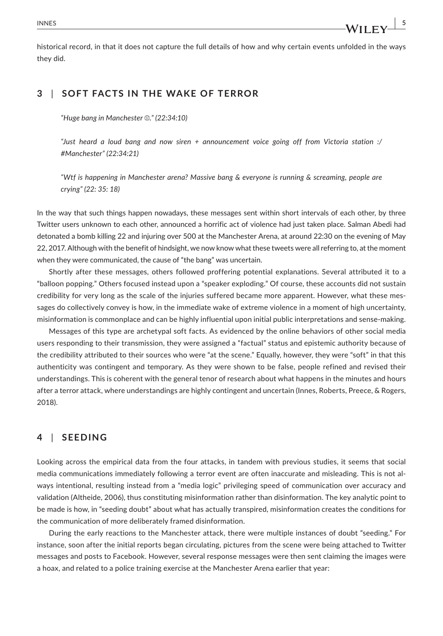historical record, in that it does not capture the full details of how and why certain events unfolded in the ways they did.

#### **3** | **SOFT FACTS IN THE WAKE OF TERROR**

*"Huge bang in Manchester ." (22:34:10)*

*"Just heard a loud bang and now siren + announcement voice going off from Victoria station :/ #Manchester" (22:34:21)*

*"Wtf is happening in Manchester arena? Massive bang & everyone is running & screaming, people are crying" (22: 35: 18)*

In the way that such things happen nowadays, these messages sent within short intervals of each other, by three Twitter users unknown to each other, announced a horrific act of violence had just taken place. Salman Abedi had detonated a bomb killing 22 and injuring over 500 at the Manchester Arena, at around 22:30 on the evening of May 22, 2017. Although with the benefit of hindsight, we now know what these tweets were all referring to, at the moment when they were communicated, the cause of "the bang" was uncertain.

Shortly after these messages, others followed proffering potential explanations. Several attributed it to a "balloon popping." Others focused instead upon a "speaker exploding." Of course, these accounts did not sustain credibility for very long as the scale of the injuries suffered became more apparent. However, what these messages do collectively convey is how, in the immediate wake of extreme violence in a moment of high uncertainty, misinformation is commonplace and can be highly influential upon initial public interpretations and sense-making.

Messages of this type are archetypal soft facts. As evidenced by the online behaviors of other social media users responding to their transmission, they were assigned a "factual" status and epistemic authority because of the credibility attributed to their sources who were "at the scene." Equally, however, they were "soft" in that this authenticity was contingent and temporary. As they were shown to be false, people refined and revised their understandings. This is coherent with the general tenor of research about what happens in the minutes and hours after a terror attack, where understandings are highly contingent and uncertain (Innes, Roberts, Preece, & Rogers, 2018).

## **4** | **SEEDING**

Looking across the empirical data from the four attacks, in tandem with previous studies, it seems that social media communications immediately following a terror event are often inaccurate and misleading. This is not always intentional, resulting instead from a "media logic" privileging speed of communication over accuracy and validation (Altheide, 2006), thus constituting misinformation rather than disinformation. The key analytic point to be made is how, in "seeding doubt" about what has actually transpired, misinformation creates the conditions for the communication of more deliberately framed disinformation.

During the early reactions to the Manchester attack, there were multiple instances of doubt "seeding." For instance, soon after the initial reports began circulating, pictures from the scene were being attached to Twitter messages and posts to Facebook. However, several response messages were then sent claiming the images were a hoax, and related to a police training exercise at the Manchester Arena earlier that year: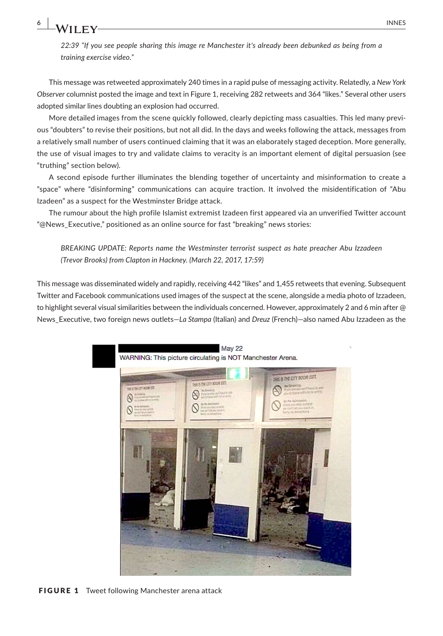*22:39 "If you see people sharing this image re Manchester it's already been debunked as being from a training exercise video."*

This message was retweeted approximately 240 times in a rapid pulse of messaging activity. Relatedly, a *New York Observer* columnist posted the image and text in Figure 1, receiving 282 retweets and 364 "likes." Several other users adopted similar lines doubting an explosion had occurred.

More detailed images from the scene quickly followed, clearly depicting mass casualties. This led many previous "doubters" to revise their positions, but not all did. In the days and weeks following the attack, messages from a relatively small number of users continued claiming that it was an elaborately staged deception. More generally, the use of visual images to try and validate claims to veracity is an important element of digital persuasion (see "truthing" section below).

A second episode further illuminates the blending together of uncertainty and misinformation to create a "space" where "disinforming" communications can acquire traction. It involved the misidentification of "Abu Izadeen" as a suspect for the Westminster Bridge attack.

The rumour about the high profile Islamist extremist Izadeen first appeared via an unverified Twitter account "@News\_Executive," positioned as an online source for fast "breaking" news stories:

*BREAKING UPDATE: Reports name the Westminster terrorist suspect as hate preacher Abu Izzadeen (Trevor Brooks) from Clapton in Hackney. (March 22, 2017, 17:59)*

This message was disseminated widely and rapidly, receiving 442 "likes" and 1,455 retweets that evening. Subsequent Twitter and Facebook communications used images of the suspect at the scene, alongside a media photo of Izzadeen, to highlight several visual similarities between the individuals concerned. However, approximately 2 and 6 min after @ News\_Executive, two foreign news outlets—*La Stampa* (Italian) and *Dreuz* (French)—also named Abu Izzadeen as the



**FIGURE 1** Tweet following Manchester arena attack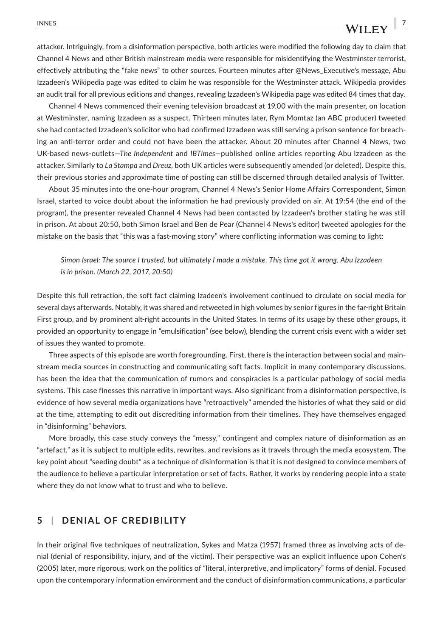attacker. Intriguingly, from a disinformation perspective, both articles were modified the following day to claim that Channel 4 News and other British mainstream media were responsible for misidentifying the Westminster terrorist, effectively attributing the "fake news" to other sources. Fourteen minutes after @News\_Executive's message, Abu Izzadeen's Wikipedia page was edited to claim he was responsible for the Westminster attack. Wikipedia provides an audit trail for all previous editions and changes, revealing Izzadeen's Wikipedia page was edited 84 times that day.

Channel 4 News commenced their evening television broadcast at 19.00 with the main presenter, on location at Westminster, naming Izzadeen as a suspect. Thirteen minutes later, Rym Momtaz (an ABC producer) tweeted she had contacted Izzadeen's solicitor who had confirmed Izzadeen was still serving a prison sentence for breaching an anti-terror order and could not have been the attacker. About 20 minutes after Channel 4 News, two UK-based news-outlets—*The Independent* and *IBTimes*—published online articles reporting Abu Izzadeen as the attacker. Similarly to *La Stampa* and *Dreuz,* both UK articles were subsequently amended (or deleted). Despite this, their previous stories and approximate time of posting can still be discerned through detailed analysis of Twitter.

About 35 minutes into the one-hour program, Channel 4 News's Senior Home Affairs Correspondent, Simon Israel, started to voice doubt about the information he had previously provided on air. At 19:54 (the end of the program), the presenter revealed Channel 4 News had been contacted by Izzadeen's brother stating he was still in prison. At about 20:50, both Simon Israel and Ben de Pear (Channel 4 News's editor) tweeted apologies for the mistake on the basis that "this was a fast-moving story" where conflicting information was coming to light:

*Simon Israel: The source I trusted, but ultimately I made a mistake. This time got it wrong. Abu Izzadeen is in prison. (March 22, 2017, 20:50)*

Despite this full retraction, the soft fact claiming Izadeen's involvement continued to circulate on social media for several days afterwards. Notably, it was shared and retweeted in high volumes by senior figures in the far-right Britain First group, and by prominent alt-right accounts in the United States. In terms of its usage by these other groups, it provided an opportunity to engage in "emulsification" (see below), blending the current crisis event with a wider set of issues they wanted to promote.

Three aspects of this episode are worth foregrounding. First, there is the interaction between social and mainstream media sources in constructing and communicating soft facts. Implicit in many contemporary discussions, has been the idea that the communication of rumors and conspiracies is a particular pathology of social media systems. This case finesses this narrative in important ways. Also significant from a disinformation perspective, is evidence of how several media organizations have "retroactively" amended the histories of what they said or did at the time, attempting to edit out discrediting information from their timelines. They have themselves engaged in "disinforming" behaviors.

More broadly, this case study conveys the "messy," contingent and complex nature of disinformation as an "artefact," as it is subject to multiple edits, rewrites, and revisions as it travels through the media ecosystem. The key point about "seeding doubt" as a technique of disinformation is that it is not designed to convince members of the audience to believe a particular interpretation or set of facts. Rather, it works by rendering people into a state where they do not know what to trust and who to believe.

### **5** | **DENIAL OF CREDIBILITY**

In their original five techniques of neutralization, Sykes and Matza (1957) framed three as involving acts of denial (denial of responsibility, injury, and of the victim). Their perspective was an explicit influence upon Cohen's (2005) later, more rigorous, work on the politics of "literal, interpretive, and implicatory" forms of denial. Focused upon the contemporary information environment and the conduct of disinformation communications, a particular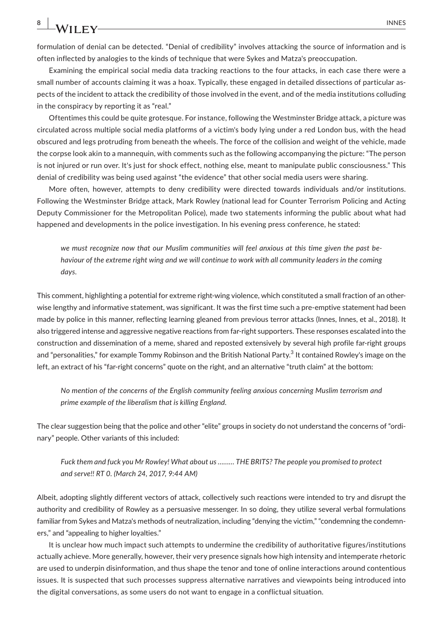formulation of denial can be detected. "Denial of credibility" involves attacking the source of information and is often inflected by analogies to the kinds of technique that were Sykes and Matza's preoccupation.

Examining the empirical social media data tracking reactions to the four attacks, in each case there were a small number of accounts claiming it was a hoax. Typically, these engaged in detailed dissections of particular aspects of the incident to attack the credibility of those involved in the event, and of the media institutions colluding in the conspiracy by reporting it as "real."

Oftentimes this could be quite grotesque. For instance, following the Westminster Bridge attack, a picture was circulated across multiple social media platforms of a victim's body lying under a red London bus, with the head obscured and legs protruding from beneath the wheels. The force of the collision and weight of the vehicle, made the corpse look akin to a mannequin, with comments such as the following accompanying the picture: "The person is not injured or run over. It's just for shock effect, nothing else, meant to manipulate public consciousness." This denial of credibility was being used against "the evidence" that other social media users were sharing.

More often, however, attempts to deny credibility were directed towards individuals and/or institutions. Following the Westminster Bridge attack, Mark Rowley (national lead for Counter Terrorism Policing and Acting Deputy Commissioner for the Metropolitan Police), made two statements informing the public about what had happened and developments in the police investigation. In his evening press conference, he stated:

*we must recognize now that our Muslim communities will feel anxious at this time given the past behaviour of the extreme right wing and we will continue to work with all community leaders in the coming days.*

This comment, highlighting a potential for extreme right-wing violence, which constituted a small fraction of an otherwise lengthy and informative statement, was significant. It was the first time such a pre-emptive statement had been made by police in this manner, reflecting learning gleaned from previous terror attacks (Innes, Innes, et al., 2018). It also triggered intense and aggressive negative reactions from far-right supporters. These responses escalated into the construction and dissemination of a meme, shared and reposted extensively by several high profile far-right groups and "personalities," for example Tommy Robinson and the British National Party.<sup>3</sup> It contained Rowley's image on the left, an extract of his "far-right concerns" quote on the right, and an alternative "truth claim" at the bottom:

*No mention of the concerns of the English community feeling anxious concerning Muslim terrorism and prime example of the liberalism that is killing England.*

The clear suggestion being that the police and other "elite" groups in society do not understand the concerns of "ordinary" people. Other variants of this included:

*Fuck them and fuck you Mr Rowley! What about us ……… THE BRITS? The people you promised to protect and serve!! RT 0. (March 24, 2017, 9:44 AM)*

Albeit, adopting slightly different vectors of attack, collectively such reactions were intended to try and disrupt the authority and credibility of Rowley as a persuasive messenger. In so doing, they utilize several verbal formulations familiar from Sykes and Matza's methods of neutralization, including "denying the victim," "condemning the condemners," and "appealing to higher loyalties."

It is unclear how much impact such attempts to undermine the credibility of authoritative figures/institutions actually achieve. More generally, however, their very presence signals how high intensity and intemperate rhetoric are used to underpin disinformation, and thus shape the tenor and tone of online interactions around contentious issues. It is suspected that such processes suppress alternative narratives and viewpoints being introduced into the digital conversations, as some users do not want to engage in a conflictual situation.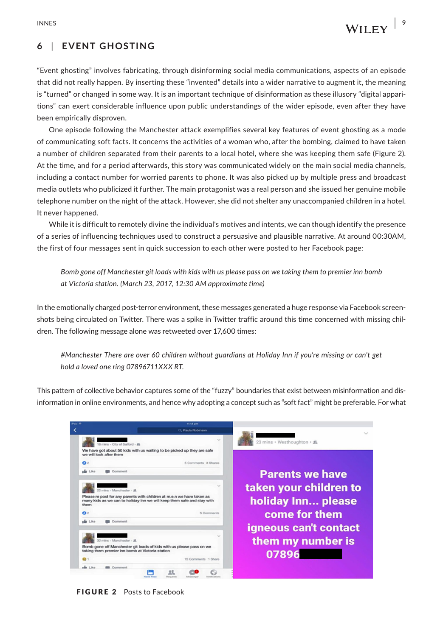## **6** | **EVENT GHOSTING**

"Event ghosting" involves fabricating, through disinforming social media communications, aspects of an episode that did not really happen. By inserting these "invented" details into a wider narrative to augment it, the meaning is "turned" or changed in some way. It is an important technique of disinformation as these illusory "digital apparitions" can exert considerable influence upon public understandings of the wider episode, even after they have been empirically disproven.

One episode following the Manchester attack exemplifies several key features of event ghosting as a mode of communicating soft facts. It concerns the activities of a woman who, after the bombing, claimed to have taken a number of children separated from their parents to a local hotel, where she was keeping them safe (Figure 2). At the time, and for a period afterwards, this story was communicated widely on the main social media channels, including a contact number for worried parents to phone. It was also picked up by multiple press and broadcast media outlets who publicized it further. The main protagonist was a real person and she issued her genuine mobile telephone number on the night of the attack. However, she did not shelter any unaccompanied children in a hotel. It never happened.

While it is difficult to remotely divine the individual's motives and intents, we can though identify the presence of a series of influencing techniques used to construct a persuasive and plausible narrative. At around 00:30AM, the first of four messages sent in quick succession to each other were posted to her Facebook page:

*Bomb gone off Manchester git loads with kids with us please pass on we taking them to premier inn bomb at Victoria station. (March 23, 2017, 12:30 AM approximate time)*

In the emotionally charged post-terror environment, these messages generated a huge response via Facebook screenshots being circulated on Twitter. There was a spike in Twitter traffic around this time concerned with missing children. The following message alone was retweeted over 17,600 times:

*#Manchester There are over 60 children without guardians at Holiday Inn if you're missing or can't get hold a loved one ring 07896711XXX RT.*

This pattern of collective behavior captures some of the "fuzzy" boundaries that exist between misinformation and disinformation in online environments, and hence why adopting a concept such as "soft fact" might be preferable. For what

|                                                                                                                                                           | 11.13 pm            |                              |
|-----------------------------------------------------------------------------------------------------------------------------------------------------------|---------------------|------------------------------|
|                                                                                                                                                           | Q. Paula Robinson   |                              |
| 18 mins - City of Salford - &L                                                                                                                            | $\sim$              | 23 mins · Westhoughton · st. |
| We have got about 50 kids with us waiting to be picked up they are safe<br>we will look after them                                                        |                     |                              |
| O <sub>2</sub>                                                                                                                                            | 5 Comments 3 Shares |                              |
| nde Like<br>Comment                                                                                                                                       |                     | <b>Parents we have</b>       |
| 22 mins - Manchester - &                                                                                                                                  |                     | taken your children to       |
| Please re post for any parents with children at m.e.n we have taken as<br>many kids as we can to holiday Inn we will keep them safe and stay with<br>them |                     | holiday Inn please           |
| O <sub>2</sub>                                                                                                                                            | 5 Comments          | come for them                |
| ada Like<br>Comment                                                                                                                                       |                     |                              |
|                                                                                                                                                           |                     | igneous can't contact        |
| 32 mins - Manchester - AL                                                                                                                                 |                     | them my number is            |
| Bomb gone off Manchester git loads of kids with us please pass on we<br>taking them premier inn bomb at Victoria station                                  |                     | 07896                        |
|                                                                                                                                                           |                     |                              |
|                                                                                                                                                           | 15 Comments 1 Share |                              |

FIGURE 2 Posts to Facebook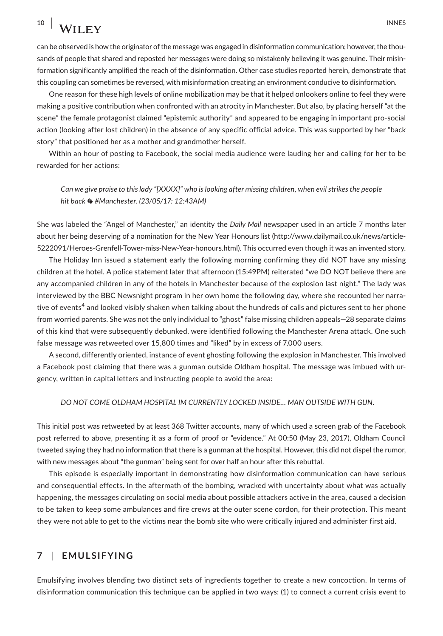can be observed is how the originator of the message was engaged in disinformation communication; however, the thousands of people that shared and reposted her messages were doing so mistakenly believing it was genuine. Their misinformation significantly amplified the reach of the disinformation. Other case studies reported herein, demonstrate that this coupling can sometimes be reversed, with misinformation creating an environment conducive to disinformation.

One reason for these high levels of online mobilization may be that it helped onlookers online to feel they were making a positive contribution when confronted with an atrocity in Manchester. But also, by placing herself "at the scene" the female protagonist claimed "epistemic authority" and appeared to be engaging in important pro-social action (looking after lost children) in the absence of any specific official advice. This was supported by her "back story" that positioned her as a mother and grandmother herself.

Within an hour of posting to Facebook, the social media audience were lauding her and calling for her to be rewarded for her actions:

*Can we give praise to this lady "[XXXX]" who is looking after missing children, when evil strikes the people hit back #Manchester. (23/05/17: 12:43AM)*

She was labeled the "Angel of Manchester," an identity the *Daily Mail* newspaper used in an article 7 months later about her being deserving of a nomination for the New Year Honours list ([http://www.dailymail.co.uk/news/article-](http://www.dailymail.co.uk/news/article-5222091/Heroes-Grenfell-Tower-miss-New-Year-honours.html)[5222091/Heroes-Grenfell-Tower-miss-New-Year-honours.html](http://www.dailymail.co.uk/news/article-5222091/Heroes-Grenfell-Tower-miss-New-Year-honours.html)). This occurred even though it was an invented story.

The Holiday Inn issued a statement early the following morning confirming they did NOT have any missing children at the hotel. A police statement later that afternoon (15:49PM) reiterated "we DO NOT believe there are any accompanied children in any of the hotels in Manchester because of the explosion last night." The lady was interviewed by the BBC Newsnight program in her own home the following day, where she recounted her narrative of events<sup>4</sup> and looked visibly shaken when talking about the hundreds of calls and pictures sent to her phone from worried parents. She was not the only individual to "ghost" false missing children appeals—28 separate claims of this kind that were subsequently debunked, were identified following the Manchester Arena attack. One such false message was retweeted over 15,800 times and "liked" by in excess of 7,000 users.

A second, differently oriented, instance of event ghosting following the explosion in Manchester. This involved a Facebook post claiming that there was a gunman outside Oldham hospital. The message was imbued with urgency, written in capital letters and instructing people to avoid the area:

#### *DO NOT COME OLDHAM HOSPITAL IM CURRENTLY LOCKED INSIDE… MAN OUTSIDE WITH GUN.*

This initial post was retweeted by at least 368 Twitter accounts, many of which used a screen grab of the Facebook post referred to above, presenting it as a form of proof or "evidence." At 00:50 (May 23, 2017), Oldham Council tweeted saying they had no information that there is a gunman at the hospital. However, this did not dispel the rumor, with new messages about "the gunman" being sent for over half an hour after this rebuttal.

This episode is especially important in demonstrating how disinformation communication can have serious and consequential effects. In the aftermath of the bombing, wracked with uncertainty about what was actually happening, the messages circulating on social media about possible attackers active in the area, caused a decision to be taken to keep some ambulances and fire crews at the outer scene cordon, for their protection. This meant they were not able to get to the victims near the bomb site who were critically injured and administer first aid.

## **7** | **EMULSIFYING**

Emulsifying involves blending two distinct sets of ingredients together to create a new concoction. In terms of disinformation communication this technique can be applied in two ways: (1) to connect a current crisis event to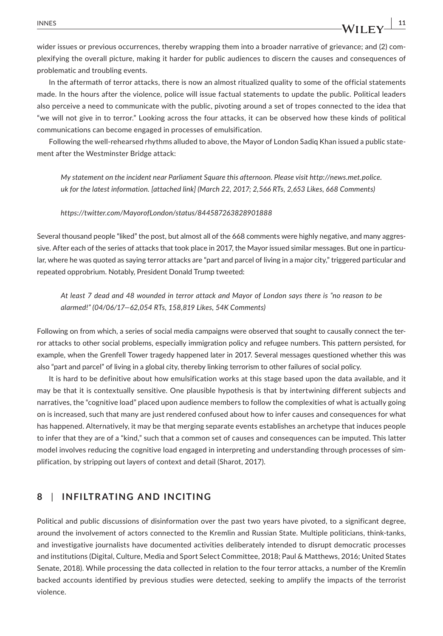wider issues or previous occurrences, thereby wrapping them into a broader narrative of grievance; and (2) complexifying the overall picture, making it harder for public audiences to discern the causes and consequences of problematic and troubling events.

In the aftermath of terror attacks, there is now an almost ritualized quality to some of the official statements made. In the hours after the violence, police will issue factual statements to update the public. Political leaders also perceive a need to communicate with the public, pivoting around a set of tropes connected to the idea that "we will not give in to terror." Looking across the four attacks, it can be observed how these kinds of political communications can become engaged in processes of emulsification.

Following the well-rehearsed rhythms alluded to above, the Mayor of London Sadiq Khan issued a public statement after the Westminster Bridge attack:

*My statement on the incident near Parliament Square this afternoon. Please visit [http://news.met.police.](https://news.met.police.uk) [uk](https://news.met.police.uk) for the latest information. [attached link] (March 22, 2017; 2,566 RTs, 2,653 Likes, 668 Comments)*

#### *<https://twitter.com/MayorofLondon/status/844587263828901888>*

Several thousand people "liked" the post, but almost all of the 668 comments were highly negative, and many aggressive. After each of the series of attacks that took place in 2017, the Mayor issued similar messages. But one in particular, where he was quoted as saying terror attacks are "part and parcel of living in a major city," triggered particular and repeated opprobrium. Notably, President Donald Trump tweeted:

*At least 7 dead and 48 wounded in terror attack and Mayor of London says there is "no reason to be alarmed!" (04/06/17—62,054 RTs, 158,819 Likes, 54K Comments)*

Following on from which, a series of social media campaigns were observed that sought to causally connect the terror attacks to other social problems, especially immigration policy and refugee numbers. This pattern persisted, for example, when the Grenfell Tower tragedy happened later in 2017. Several messages questioned whether this was also "part and parcel" of living in a global city, thereby linking terrorism to other failures of social policy.

It is hard to be definitive about how emulsification works at this stage based upon the data available, and it may be that it is contextually sensitive. One plausible hypothesis is that by intertwining different subjects and narratives, the "cognitive load" placed upon audience members to follow the complexities of what is actually going on is increased, such that many are just rendered confused about how to infer causes and consequences for what has happened. Alternatively, it may be that merging separate events establishes an archetype that induces people to infer that they are of a "kind," such that a common set of causes and consequences can be imputed. This latter model involves reducing the cognitive load engaged in interpreting and understanding through processes of simplification, by stripping out layers of context and detail (Sharot, 2017).

## **8** | **INFILTR ATING AND INCITING**

Political and public discussions of disinformation over the past two years have pivoted, to a significant degree, around the involvement of actors connected to the Kremlin and Russian State. Multiple politicians, think-tanks, and investigative journalists have documented activities deliberately intended to disrupt democratic processes and institutions (Digital, Culture, Media and Sport Select Committee, 2018; Paul & Matthews, 2016; United States Senate, 2018). While processing the data collected in relation to the four terror attacks, a number of the Kremlin backed accounts identified by previous studies were detected, seeking to amplify the impacts of the terrorist violence.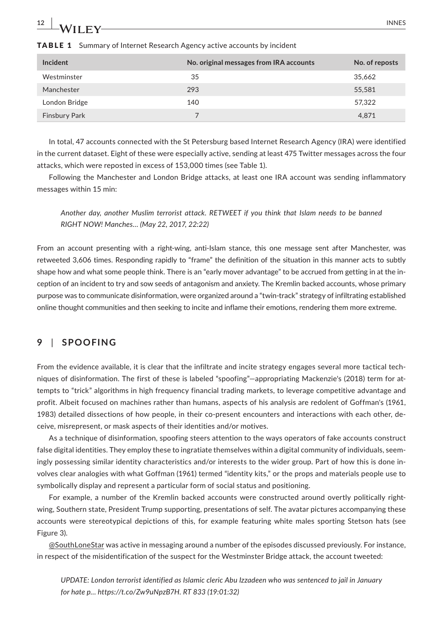| 12       | $- -$<br>INNFS |
|----------|----------------|
| ∽<br>. . |                |

|  | <b>TABLE 1</b> Summary of Internet Research Agency active accounts by incident |  |  |  |  |  |  |  |  |  |
|--|--------------------------------------------------------------------------------|--|--|--|--|--|--|--|--|--|
|--|--------------------------------------------------------------------------------|--|--|--|--|--|--|--|--|--|

| <b>Incident</b> | No. original messages from IRA accounts | No. of reposts |
|-----------------|-----------------------------------------|----------------|
| Westminster     | 35                                      | 35,662         |
| Manchester      | 293                                     | 55,581         |
| London Bridge   | 140                                     | 57,322         |
| Finsbury Park   |                                         | 4,871          |

In total, 47 accounts connected with the St Petersburg based Internet Research Agency (IRA) were identified in the current dataset. Eight of these were especially active, sending at least 475 Twitter messages across the four attacks, which were reposted in excess of 153,000 times (see Table 1).

Following the Manchester and London Bridge attacks, at least one IRA account was sending inflammatory messages within 15 min:

*Another day, another Muslim terrorist attack. RETWEET if you think that Islam needs to be banned RIGHT NOW! Manches… (May 22, 2017, 22:22)*

From an account presenting with a right-wing, anti-Islam stance, this one message sent after Manchester, was retweeted 3,606 times. Responding rapidly to "frame" the definition of the situation in this manner acts to subtly shape how and what some people think. There is an "early mover advantage" to be accrued from getting in at the inception of an incident to try and sow seeds of antagonism and anxiety. The Kremlin backed accounts, whose primary purpose was to communicate disinformation, were organized around a "twin-track" strategy of infiltrating established online thought communities and then seeking to incite and inflame their emotions, rendering them more extreme.

## **9** | **SPOOFING**

From the evidence available, it is clear that the infiltrate and incite strategy engages several more tactical techniques of disinformation. The first of these is labeled "spoofing"—appropriating Mackenzie's (2018) term for attempts to "trick" algorithms in high frequency financial trading markets, to leverage competitive advantage and profit. Albeit focused on machines rather than humans, aspects of his analysis are redolent of Goffman's (1961, 1983) detailed dissections of how people, in their co-present encounters and interactions with each other, deceive, misrepresent, or mask aspects of their identities and/or motives.

As a technique of disinformation, spoofing steers attention to the ways operators of fake accounts construct false digital identities. They employ these to ingratiate themselves within a digital community of individuals, seemingly possessing similar identity characteristics and/or interests to the wider group. Part of how this is done involves clear analogies with what Goffman (1961) termed "identity kits," or the props and materials people use to symbolically display and represent a particular form of social status and positioning.

For example, a number of the Kremlin backed accounts were constructed around overtly politically rightwing, Southern state, President Trump supporting, presentations of self. The avatar pictures accompanying these accounts were stereotypical depictions of this, for example featuring white males sporting Stetson hats (see Figure 3).

@SouthLoneStar was active in messaging around a number of the episodes discussed previously. For instance, in respect of the misidentification of the suspect for the Westminster Bridge attack, the account tweeted:

*UPDATE: London terrorist identified as Islamic cleric Abu Izzadeen who was sentenced to jail in January for hate p… [https://t.co/Zw9uNpzB7H.](https://t.co/Zw9uNpzB7H) RT 833 (19:01:32)*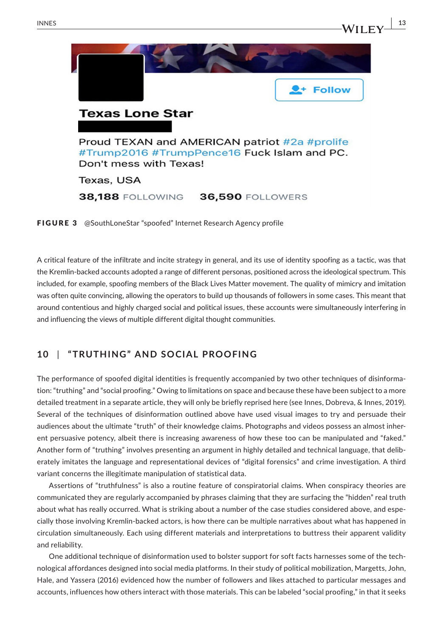

FIGURE 3 @SouthLoneStar "spoofed" Internet Research Agency profile

A critical feature of the infiltrate and incite strategy in general, and its use of identity spoofing as a tactic, was that the Kremlin-backed accounts adopted a range of different personas, positioned across the ideological spectrum. This included, for example, spoofing members of the Black Lives Matter movement. The quality of mimicry and imitation was often quite convincing, allowing the operators to build up thousands of followers in some cases. This meant that around contentious and highly charged social and political issues, these accounts were simultaneously interfering in and influencing the views of multiple different digital thought communities.

## **10** | **"TRUTHING" AND SOCIAL PROOFING**

The performance of spoofed digital identities is frequently accompanied by two other techniques of disinformation: "truthing" and "social proofing." Owing to limitations on space and because these have been subject to a more detailed treatment in a separate article, they will only be briefly reprised here (see Innes, Dobreva, & Innes, 2019). Several of the techniques of disinformation outlined above have used visual images to try and persuade their audiences about the ultimate "truth" of their knowledge claims. Photographs and videos possess an almost inherent persuasive potency, albeit there is increasing awareness of how these too can be manipulated and "faked." Another form of "truthing" involves presenting an argument in highly detailed and technical language, that deliberately imitates the language and representational devices of "digital forensics" and crime investigation. A third variant concerns the illegitimate manipulation of statistical data.

Assertions of "truthfulness" is also a routine feature of conspiratorial claims. When conspiracy theories are communicated they are regularly accompanied by phrases claiming that they are surfacing the "hidden" real truth about what has really occurred. What is striking about a number of the case studies considered above, and especially those involving Kremlin-backed actors, is how there can be multiple narratives about what has happened in circulation simultaneously. Each using different materials and interpretations to buttress their apparent validity and reliability.

One additional technique of disinformation used to bolster support for soft facts harnesses some of the technological affordances designed into social media platforms. In their study of political mobilization, Margetts, John, Hale, and Yassera (2016) evidenced how the number of followers and likes attached to particular messages and accounts, influences how others interact with those materials. This can be labeled "social proofing," in that it seeks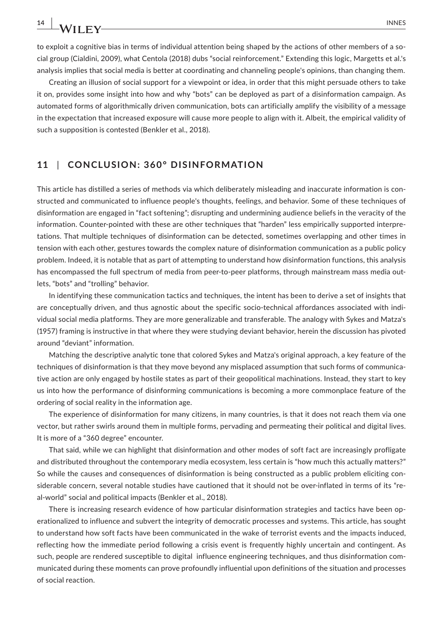to exploit a cognitive bias in terms of individual attention being shaped by the actions of other members of a social group (Cialdini, 2009), what Centola (2018) dubs "social reinforcement." Extending this logic, Margetts et al.'s analysis implies that social media is better at coordinating and channeling people's opinions, than changing them.

Creating an illusion of social support for a viewpoint or idea, in order that this might persuade others to take it on, provides some insight into how and why "bots" can be deployed as part of a disinformation campaign. As automated forms of algorithmically driven communication, bots can artificially amplify the visibility of a message in the expectation that increased exposure will cause more people to align with it. Albeit, the empirical validity of such a supposition is contested (Benkler et al., 2018).

## **11** | **CONCLUSION: 360° DISINFORMATION**

This article has distilled a series of methods via which deliberately misleading and inaccurate information is constructed and communicated to influence people's thoughts, feelings, and behavior. Some of these techniques of disinformation are engaged in "fact softening"; disrupting and undermining audience beliefs in the veracity of the information. Counter-pointed with these are other techniques that "harden" less empirically supported interpretations. That multiple techniques of disinformation can be detected, sometimes overlapping and other times in tension with each other, gestures towards the complex nature of disinformation communication as a public policy problem. Indeed, it is notable that as part of attempting to understand how disinformation functions, this analysis has encompassed the full spectrum of media from peer-to-peer platforms, through mainstream mass media outlets, "bots" and "trolling" behavior.

In identifying these communication tactics and techniques, the intent has been to derive a set of insights that are conceptually driven, and thus agnostic about the specific socio-technical affordances associated with individual social media platforms. They are more generalizable and transferable. The analogy with Sykes and Matza's (1957) framing is instructive in that where they were studying deviant behavior, herein the discussion has pivoted around "deviant" information.

Matching the descriptive analytic tone that colored Sykes and Matza's original approach, a key feature of the techniques of disinformation is that they move beyond any misplaced assumption that such forms of communicative action are only engaged by hostile states as part of their geopolitical machinations. Instead, they start to key us into how the performance of disinforming communications is becoming a more commonplace feature of the ordering of social reality in the information age.

The experience of disinformation for many citizens, in many countries, is that it does not reach them via one vector, but rather swirls around them in multiple forms, pervading and permeating their political and digital lives. It is more of a "360 degree" encounter.

That said, while we can highlight that disinformation and other modes of soft fact are increasingly profligate and distributed throughout the contemporary media ecosystem, less certain is "how much this actually matters?" So while the causes and consequences of disinformation is being constructed as a public problem eliciting considerable concern, several notable studies have cautioned that it should not be over-inflated in terms of its "real-world" social and political impacts (Benkler et al., 2018).

There is increasing research evidence of how particular disinformation strategies and tactics have been operationalized to influence and subvert the integrity of democratic processes and systems. This article, has sought to understand how soft facts have been communicated in the wake of terrorist events and the impacts induced, reflecting how the immediate period following a crisis event is frequently highly uncertain and contingent. As such, people are rendered susceptible to digital influence engineering techniques, and thus disinformation communicated during these moments can prove profoundly influential upon definitions of the situation and processes of social reaction.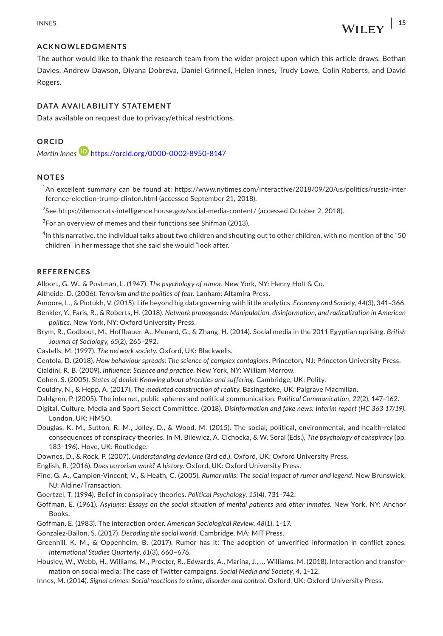#### **ACKNOWLEDGMENTS**

The author would like to thank the research team from the wider project upon which this article draws: Bethan Davies, Andrew Dawson, Diyana Dobreva, Daniel Grinnell, Helen Innes, Trudy Lowe, Colin Roberts, and David Rogers.

#### **DATA AVAILABILITY STATEMENT**

Data available on request due to privacy/ethical restrictions.

#### **ORCID**

*Martin Innes* <https://orcid.org/0000-0002-8950-8147>

#### **NOTES**

1 An excellent summary can be found at: [https://www.nytimes.com/interactive/2018/09/20/us/politics/russia-inter](https://www.nytimes.com/interactive/2018/09/20/us/politics/russia-interference-election-trump-clinton.html) [ference-election-trump-clinton.html](https://www.nytimes.com/interactive/2018/09/20/us/politics/russia-interference-election-trump-clinton.html) (accessed September 21, 2018).

2 See <https://democrats-intelligence.house.gov/social-media-content/>(accessed October 2, 2018).

 ${}^{3}$ For an overview of memes and their functions see Shifman (2013).

 $^4$ In this narrative, the individual talks about two children and shouting out to other children, with no mention of the "50  $\,$ children" in her message that she said she would "look after."

#### **REFERENCES**

Allport, G. W., & Postman, L. (1947). *The psychology of rumor*. New York, NY: Henry Holt & Co.

Altheide, D. (2006). *Terrorism and the politics of fear*. Lanham: Altamira Press.

Amoore, L., & Piotukh, V. (2015). Life beyond big data governing with little analytics. *Economy and Society*, *44*(3), 341–366.

Benkler, Y., Faris, R., & Roberts, H. (2018). *Network propaganda: Manipulation, disinformation, and radicalization in American politics*. New York, NY: Oxford University Press.

Brym, R., Godbout, M., Hoffbauer, A., Menard, G., & Zhang, H. (2014). Social media in the 2011 Egyptian uprising. *British Journal of Sociology*, *65*(2), 265–292.

Castells, M. (1997). *The network society*. Oxford, UK: Blackwells.

Centola, D. (2018). *How behaviour spreads: The science of complex contagions*. Princeton, NJ: Princeton University Press.

Cialdini, R. B. (2009). *Influence: Science and practice*. New York, NY: William Morrow.

Cohen, S. (2005). *States of denial: Knowing about atrocities and suffering*. Cambridge, UK: Polity.

Couldry, N., & Hepp, A. (2017). *The mediated construction of reality*. Basingstoke, UK: Palgrave Macmillan.

Dahlgren, P. (2005). The internet, public spheres and political communication. *Political Communication*, *22*(2), 147–162.

- Digital, Culture, Media and Sport Select Committee. (2018). *Disinformation and fake news: Interim report (HC 363 17/19)*. London, UK: HMSO.
- Douglas, K. M., Sutton, R. M., Jolley, D., & Wood, M. (2015). The social, political, environmental, and health-related consequences of conspiracy theories. In M. Bilewicz, A. Cichocka, & W. Soral (Eds.), *The psychology of conspiracy* (pp. 183–196). Hove, UK: Routledge.

Downes, D., & Rock, P. (2007). *Understanding deviance* (3rd ed.). Oxford, UK: Oxford University Press.

English, R. (2016). *Does terrorism work? A history*. Oxford, UK: Oxford University Press.

Fine, G. A., Campion-Vincent, V., & Heath, C. (2005). *Rumor mills: The social impact of rumor and legend*. New Brunswick, NJ: Aldine/Transaction.

Goertzel, T. (1994). Belief in conspiracy theories. *Political Psychology*, *15*(4), 731–742.

Goffman, E. (1961). *Asylums: Essays on the social situation of mental patients and other inmates*. New York, NY: Anchor Books.

Goffman, E. (1983). The interaction order. *American Sociological Review*, *48*(1), 1–17.

Gonzalez-Bailon, S. (2017). *Decoding the social world*. Cambridge, MA: MIT Press.

- Greenhill, K. M., & Oppenheim, B. (2017). Rumor has it: The adoption of unverified information in conflict zones. *International Studies Quarterly*, *61*(3), 660–676.
- Housley, W., Webb, H., Williams, M., Procter, R., Edwards, A., Marina, J., … Williams, M. (2018). Interaction and transformation on social media: The case of Twitter campaigns. *Social Media and Society*, *4*, 1–12.

Innes, M. (2014). *Signal crimes: Social reactions to crime, disorder and control*. Oxford, UK: Oxford University Press.